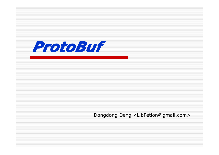

Dongdong Deng <LibFetion@gmail.com>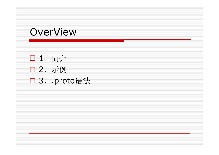#### OverView

� 1、简介 □ 2、示例 □ 3、.proto语法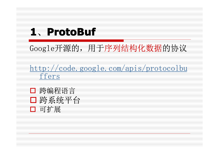# **1**、**ProtoBuf ProtoBuf ProtoBuf ProtoBuf**

Google开源的,用于序列结构化数据的协议

http://code.google.com/apis/protocolbu ffers

□ 跨编程语言 □ 跨系统平台 □ 可扩展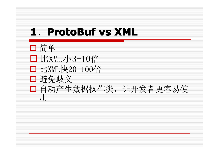# **1**、**ProtoBuf vs XML ProtoBuf vs XML ProtoBuf vs XMLProtoBuf vs XML**

□ 简单 □比XML小3-10倍 □ 比XML快20-100倍 □ 避免歧义 � 自动产生数据操作类,让开发者更容易使 用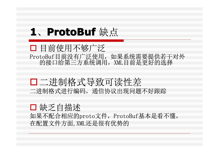#### 1、ProtoBuf 缺点

□ 目前使用不够广泛 ProtoBuf目前没有广泛使用,如果系统需要提供若干对外 的接口给第三方系统调用,XML目前是更好的选择

�二进制格式导致可读性差 二进制格式进行编码,通信协议出现问题不好跟踪

#### □ 缺乏自描述

如果不配合相应的proto文件,ProtoBuf基本是看不懂, 在配置文件方面,XML还是很有优势的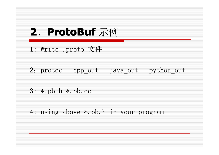## 2、ProtoBuf 示例

- 1: Write .proto 文件
- 2: protoc  $-$ cpp\_out  $-$ java\_out  $-$ python out
- 3: \*.pb.h \*.pb.cc
- 4: using above \*.pb.h in your program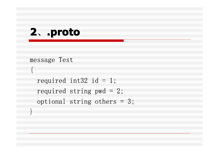## **2**、**.proto**

```
message Test
```
 $\{$ 

}

```
required int32 id = 1;
required string pwd = 2;
 optional string others = 3;
```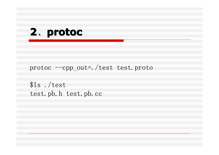#### 2. protoc

protoc --cpp\_out=./test test.proto

 $$1s$ ./test test.pb.h test.pb.cc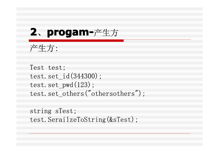## **2**、**progam- progam- progam- progam-**产生方

```
产生方:
```
Test test; test.set\_id(344300); test.set  $pwd(123)$ ; test.set others("othersothers");

string sTest; test.SerailzeToString(&sTest);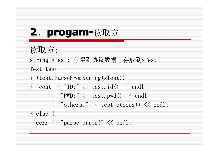# **2**、**progam- progam- progam- progam-**读取方

}

读取方: string sTest; //得到协议数据,存放到sTest Test test; if(test.ParseFromString(sTest)) { cout  $\langle\langle$  "ID:"  $\langle\langle$  test.id()  $\langle\langle$  endl  $<<$  "PWD:"  $<<$  test.pwd()  $<<$  endl  $\langle\langle$  "others:"  $\langle\langle$  test.others()  $\langle\langle$  endl; } else { cerr  $\langle\langle$  "parse error!"  $\langle\langle$  endl;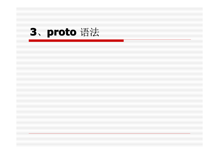

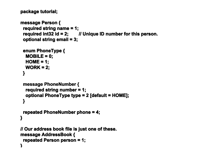```
package tutorial;
```

```
message Person {
           required string name = 1;
          required int32 id = 2; II Unique ID number for this person.
           optional string email = 3;
           enum PhoneType { PhoneType { PhoneType PhoneType {
            MOBILE = 0;
           HOME = 1;
            WORK = 2:
  }
          message PhoneNumber {
            required string number = 1;
           optional PhoneType type = 2 [default = HOME];
  }
           repeated PhoneNumber phone = 4;
}
        // Our address book file is just one of these. // Our address book file is just one of these. // address file just one these. // address book file is just one these.
        message AddressBook { message {message AddressBook  message 
           repeated Person person = 1;
}
```